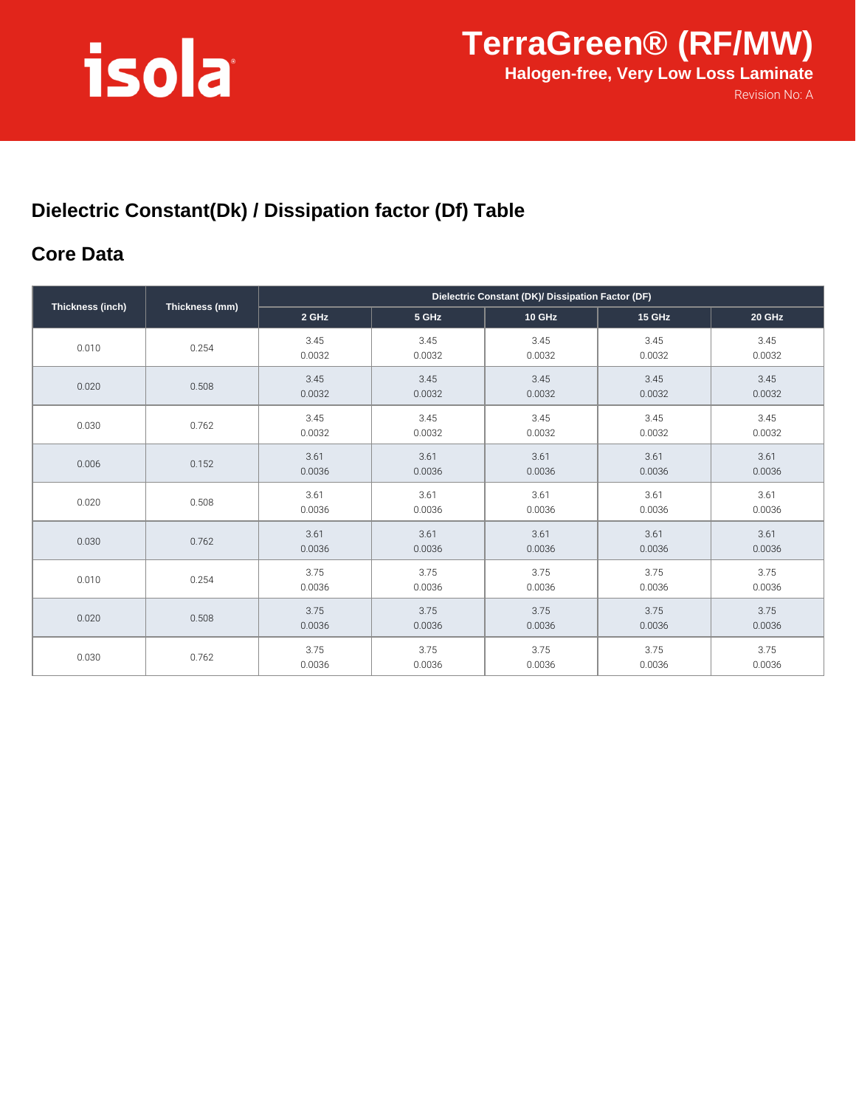# isola

### **Dielectric Constant(Dk) / Dissipation factor (Df) Table**

#### **Core Data**

| Thickness (inch) | Thickness (mm) | Dielectric Constant (DK)/ Dissipation Factor (DF) |                |                |                |                |
|------------------|----------------|---------------------------------------------------|----------------|----------------|----------------|----------------|
|                  |                | 2 GHz                                             | 5 GHz          | 10 GHz         | <b>15 GHz</b>  | 20 GHz         |
| 0.010            | 0.254          | 3.45<br>0.0032                                    | 3.45<br>0.0032 | 3.45<br>0.0032 | 3.45<br>0.0032 | 3.45<br>0.0032 |
| 0.020            | 0.508          | 3.45<br>0.0032                                    | 3.45<br>0.0032 | 3.45<br>0.0032 | 3.45<br>0.0032 | 3.45<br>0.0032 |
| 0.030            | 0.762          | 3.45<br>0.0032                                    | 3.45<br>0.0032 | 3.45<br>0.0032 | 3.45<br>0.0032 | 3.45<br>0.0032 |
| 0.006            | 0.152          | 3.61<br>0.0036                                    | 3.61<br>0.0036 | 3.61<br>0.0036 | 3.61<br>0.0036 | 3.61<br>0.0036 |
| 0.020            | 0.508          | 3.61<br>0.0036                                    | 3.61<br>0.0036 | 3.61<br>0.0036 | 3.61<br>0.0036 | 3.61<br>0.0036 |
| 0.030            | 0.762          | 3.61<br>0.0036                                    | 3.61<br>0.0036 | 3.61<br>0.0036 | 3.61<br>0.0036 | 3.61<br>0.0036 |
| 0.010            | 0.254          | 3.75<br>0.0036                                    | 3.75<br>0.0036 | 3.75<br>0.0036 | 3.75<br>0.0036 | 3.75<br>0.0036 |
| 0.020            | 0.508          | 3.75<br>0.0036                                    | 3.75<br>0.0036 | 3.75<br>0.0036 | 3.75<br>0.0036 | 3.75<br>0.0036 |
| 0.030            | 0.762          | 3.75<br>0.0036                                    | 3.75<br>0.0036 | 3.75<br>0.0036 | 3.75<br>0.0036 | 3.75<br>0.0036 |